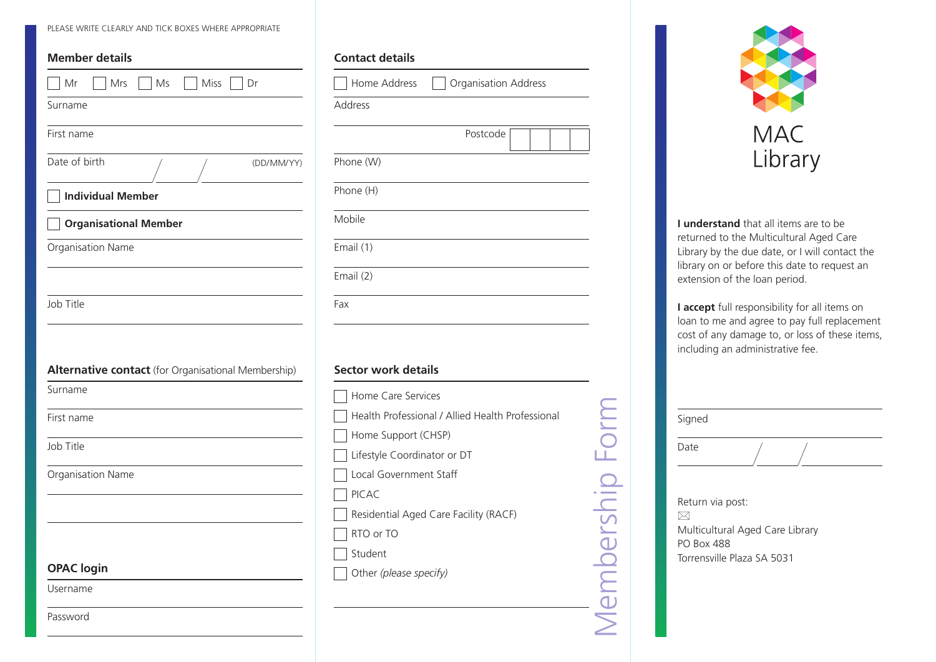PLEASE WRITE CLEARLY AND TICK BOXES WHERE APPROPRIATE

| <b>Member details</b>                                          | Conta                                                                          |
|----------------------------------------------------------------|--------------------------------------------------------------------------------|
| Miss<br>Mr<br>Mrs<br>Ms<br>Dr                                  | Ho                                                                             |
| Surname                                                        | Addres                                                                         |
| First name                                                     |                                                                                |
| Date of birth<br>(DD/MM/YY)                                    | Phone                                                                          |
| <b>Individual Member</b>                                       | Phone                                                                          |
| <b>Organisational Member</b>                                   | Mobile                                                                         |
| Organisation Name                                              | Email (                                                                        |
|                                                                | Email (                                                                        |
| Job Title                                                      |                                                                                |
|                                                                | Fax                                                                            |
| Alternative contact (for Organisational Membership)<br>Surname |                                                                                |
| First name                                                     |                                                                                |
| Job Title                                                      |                                                                                |
|                                                                |                                                                                |
| Organisation Name                                              |                                                                                |
|                                                                |                                                                                |
|                                                                |                                                                                |
| <b>OPAC</b> login                                              | Secto<br>Ho<br>He<br>Ho<br>Life<br>Loo<br>PIC<br>Res<br>RT <sub>o</sub><br>Stu |

| <b>Contact details</b> |                             |
|------------------------|-----------------------------|
| Home Address           | <b>Organisation Address</b> |
| <b>Address</b>         |                             |
|                        | Postcode                    |
| Phone (W)              |                             |
| Phone (H)              |                             |
| Mobile                 |                             |
| Email (1)              |                             |
| Email (2)              |                             |
| Fax                    |                             |
|                        |                             |

#### **Sector work details**

| Home Care Services                               |  |
|--------------------------------------------------|--|
| Health Professional / Allied Health Professional |  |
| Home Support (CHSP)                              |  |
| Lifestyle Coordinator or DT                      |  |
| Local Government Staff                           |  |
| <b>PICAC</b>                                     |  |
| Residential Aged Care Facility (RACF)            |  |
| RTO or TO                                        |  |
| Student                                          |  |
| Other (please specify)                           |  |
|                                                  |  |
|                                                  |  |
|                                                  |  |



**I understand** that all items are to be returned to the Multicultural Aged Care Library by the due date, or I will contact the library on or before this date to request an extension of the loan period.

**I accept** full responsibility for all items on loan to me and agree to pay full replacement cost of any damage to, or loss of these items, including an administrative fee.

| Signed |  |  |
|--------|--|--|
| Date   |  |  |

Return via post: Multicultural Aged Care Library PO Box 488 Torrensville Plaza SA 5031  $\boxtimes$ 

Password